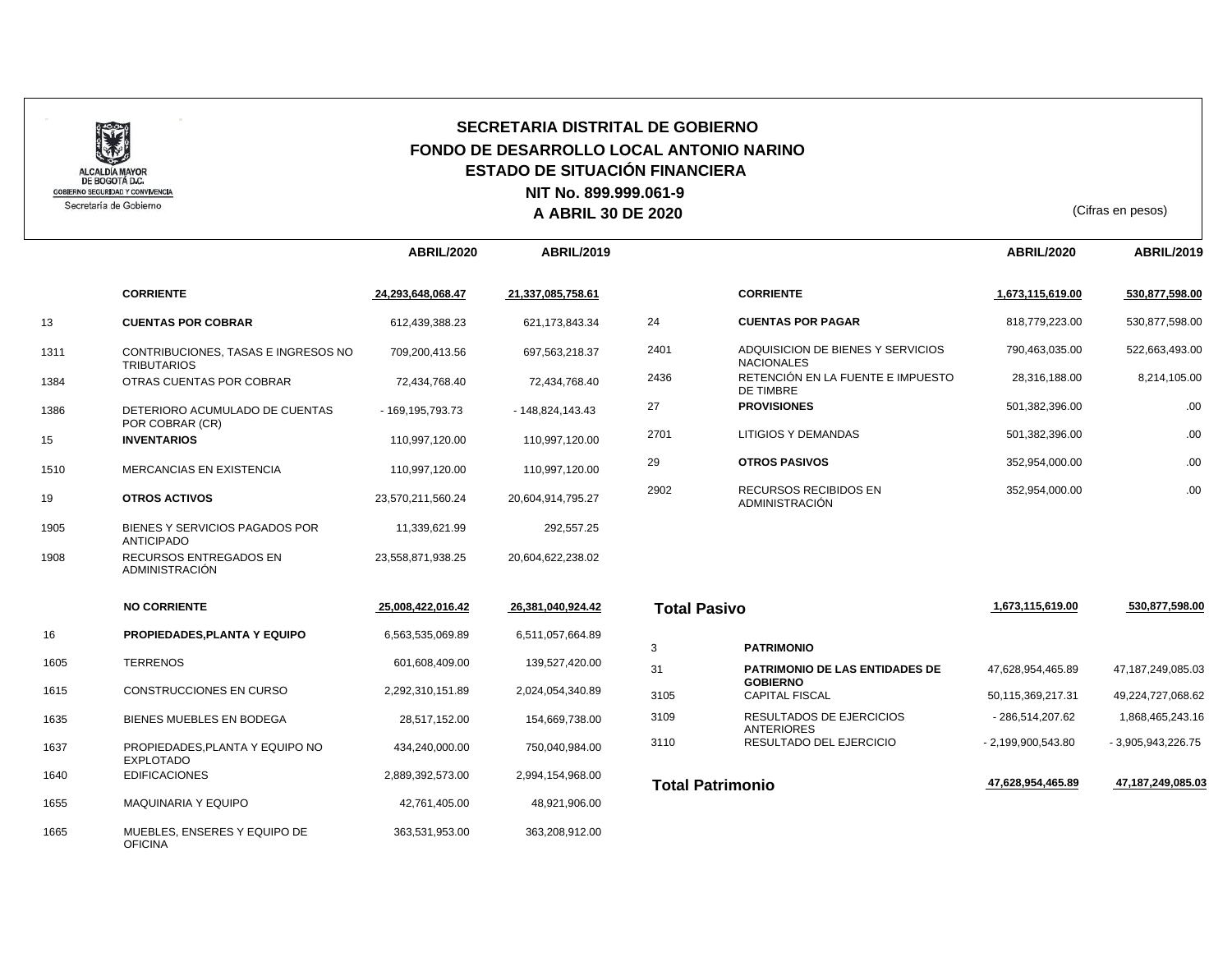

## **SECRETARIA DISTRITAL DE GOBIERNO FONDO DE DESARROLLO LOCAL ANTONIO NARINO ESTADO DE SITUACIÓN FINANCIERA A ABRIL 30 DE 2020** (Cifras en pesos) **NIT No. 899.999.061-9**

|      |                                                           | <b>ABRIL/2020</b>   | <b>ABRIL/2019</b> |                         |                                                          | <b>ABRIL/2020</b>  | <b>ABRIL/2019</b>  |
|------|-----------------------------------------------------------|---------------------|-------------------|-------------------------|----------------------------------------------------------|--------------------|--------------------|
|      | <b>CORRIENTE</b>                                          | 24,293,648,068.47   | 21,337,085,758.61 |                         | <b>CORRIENTE</b>                                         | 1,673,115,619.00   | 530,877,598.00     |
| 13   | <b>CUENTAS POR COBRAR</b>                                 | 612,439,388.23      | 621, 173, 843. 34 | 24                      | <b>CUENTAS POR PAGAR</b>                                 | 818,779,223.00     | 530,877,598.00     |
| 1311 | CONTRIBUCIONES, TASAS E INGRESOS NO<br><b>TRIBUTARIOS</b> | 709,200,413.56      | 697,563,218.37    | 2401                    | ADQUISICION DE BIENES Y SERVICIOS<br><b>NACIONALES</b>   | 790,463,035.00     | 522,663,493.00     |
| 1384 | OTRAS CUENTAS POR COBRAR                                  | 72,434,768.40       | 72,434,768.40     | 2436                    | RETENCIÓN EN LA FUENTE E IMPUESTO<br>DE TIMBRE           | 28,316,188.00      | 8,214,105.00       |
| 1386 | DETERIORO ACUMULADO DE CUENTAS                            | - 169, 195, 793. 73 | $-148,824,143.43$ | 27                      | <b>PROVISIONES</b>                                       | 501,382,396.00     | .00                |
| 15   | POR COBRAR (CR)<br><b>INVENTARIOS</b>                     | 110.997.120.00      | 110,997,120.00    | 2701                    | LITIGIOS Y DEMANDAS                                      | 501,382,396.00     | .00                |
| 1510 | <b>MERCANCIAS EN EXISTENCIA</b>                           | 110,997,120.00      | 110,997,120.00    | 29                      | <b>OTROS PASIVOS</b>                                     | 352,954,000.00     | .00                |
| 19   | <b>OTROS ACTIVOS</b>                                      | 23,570,211,560.24   | 20,604,914,795.27 | 2902                    | RECURSOS RECIBIDOS EN<br><b>ADMINISTRACIÓN</b>           | 352,954,000.00     | .00                |
| 1905 | BIENES Y SERVICIOS PAGADOS POR<br><b>ANTICIPADO</b>       | 11,339,621.99       | 292,557.25        |                         |                                                          |                    |                    |
| 1908 | <b>RECURSOS ENTREGADOS EN</b><br>ADMINISTRACIÓN           | 23,558,871,938.25   | 20,604,622,238.02 |                         |                                                          |                    |                    |
|      | <b>NO CORRIENTE</b>                                       | 25,008,422,016.42   | 26,381,040,924.42 | <b>Total Pasivo</b>     |                                                          | 1,673,115,619.00   | 530,877,598.00     |
| 16   | PROPIEDADES, PLANTA Y EQUIPO                              | 6,563,535,069.89    | 6,511,057,664.89  |                         |                                                          |                    |                    |
|      |                                                           |                     |                   | 3                       | <b>PATRIMONIO</b>                                        |                    |                    |
| 1605 | <b>TERRENOS</b>                                           | 601,608,409.00      | 139,527,420.00    | 31                      | <b>PATRIMONIO DE LAS ENTIDADES DE</b><br><b>GOBIERNO</b> | 47,628,954,465.89  | 47,187,249,085.03  |
| 1615 | CONSTRUCCIONES EN CURSO                                   | 2,292,310,151.89    | 2,024,054,340.89  | 3105                    | <b>CAPITAL FISCAL</b>                                    | 50,115,369,217.31  | 49,224,727,068.62  |
| 1635 | BIENES MUEBLES EN BODEGA                                  | 28,517,152.00       | 154,669,738.00    | 3109                    | RESULTADOS DE EJERCICIOS<br><b>ANTERIORES</b>            | - 286,514,207.62   | 1,868,465,243.16   |
| 1637 | PROPIEDADES, PLANTA Y EQUIPO NO<br><b>EXPLOTADO</b>       | 434,240,000.00      | 750,040,984.00    | 3110                    | RESULTADO DEL EJERCICIO                                  | - 2,199,900,543.80 | - 3,905,943,226.75 |
| 1640 | <b>EDIFICACIONES</b>                                      | 2,889,392,573.00    | 2,994,154,968.00  | <b>Total Patrimonio</b> |                                                          | 47,628,954,465.89  | 47,187,249,085.03  |
| 1655 | MAQUINARIA Y EQUIPO                                       | 42,761,405.00       | 48,921,906.00     |                         |                                                          |                    |                    |
| 1665 | MUEBLES, ENSERES Y EQUIPO DE<br><b>OFICINA</b>            | 363,531,953.00      | 363,208,912.00    |                         |                                                          |                    |                    |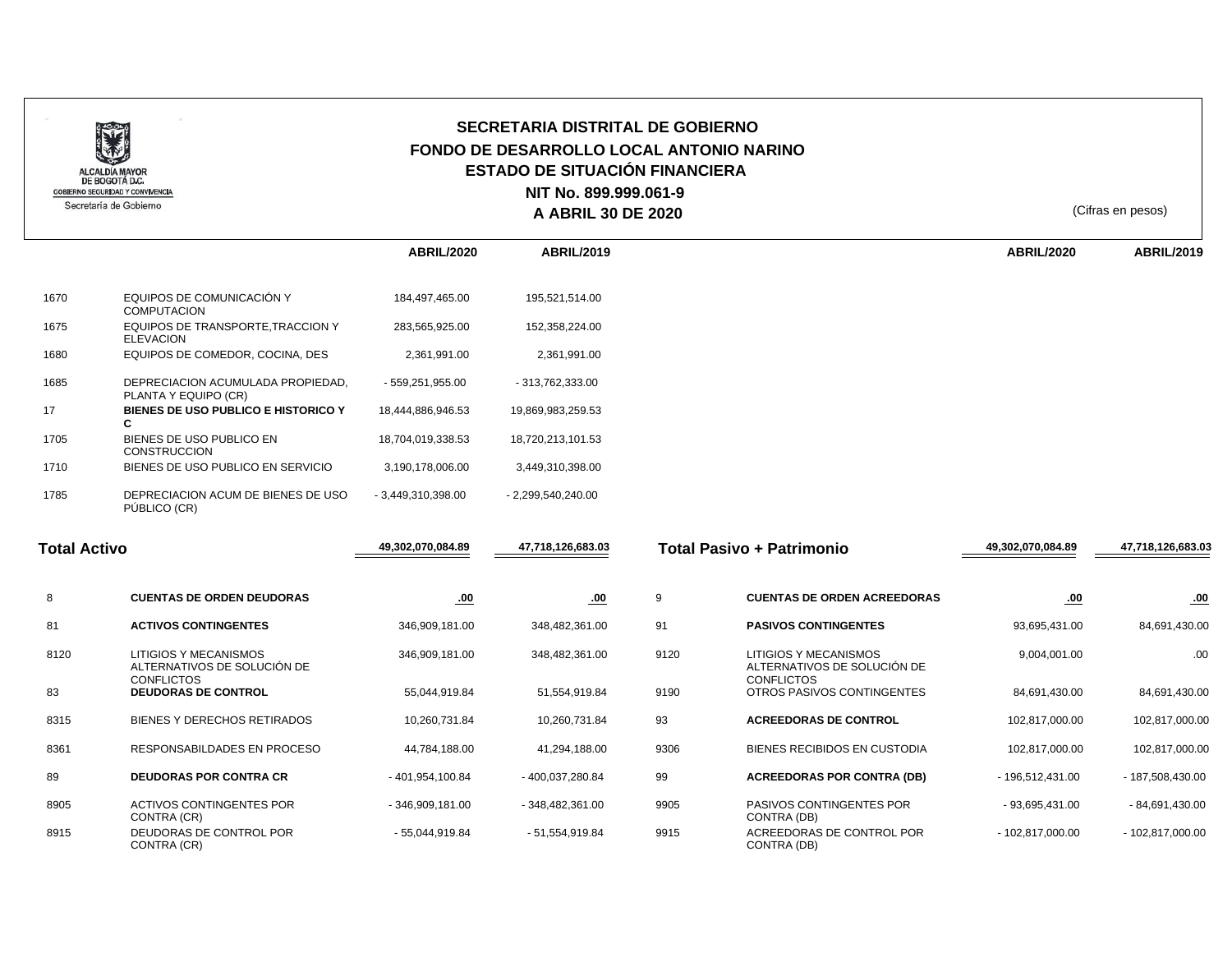

## **SECRETARIA DISTRITAL DE GOBIERNO FONDO DE DESARROLLO LOCAL ANTONIO NARINO ESTADO DE SITUACIÓN FINANCIERA A ABRIL 30 DE 2020** (Cifras en pesos) **NIT No. 899.999.061-9**

|      |                                                           | <b>ABRIL/2020</b>   | <b>ABRIL/2019</b>   | <b>ABRIL/2020</b> |
|------|-----------------------------------------------------------|---------------------|---------------------|-------------------|
| 1670 | EQUIPOS DE COMUNICACIÓN Y                                 | 184,497,465.00      | 195,521,514.00      |                   |
|      | <b>COMPUTACION</b>                                        |                     |                     |                   |
| 1675 | EQUIPOS DE TRANSPORTE, TRACCION Y<br><b>ELEVACION</b>     | 283,565,925.00      | 152,358,224.00      |                   |
| 1680 | EQUIPOS DE COMEDOR, COCINA, DES                           | 2,361,991.00        | 2,361,991.00        |                   |
| 1685 | DEPRECIACION ACUMULADA PROPIEDAD,<br>PLANTA Y EQUIPO (CR) | - 559,251,955.00    | - 313,762,333.00    |                   |
| 17   | BIENES DE USO PUBLICO E HISTORICO Y<br>C.                 | 18,444,886,946.53   | 19,869,983,259.53   |                   |
| 1705 | BIENES DE USO PUBLICO EN<br><b>CONSTRUCCION</b>           | 18,704,019,338.53   | 18,720,213,101.53   |                   |
| 1710 | BIENES DE USO PUBLICO EN SERVICIO                         | 3,190,178,006.00    | 3,449,310,398.00    |                   |
| 1785 | DEPRECIACION ACUM DE BIENES DE USO<br>PÚBLICO (CR)        | $-3,449,310,398.00$ | $-2,299,540,240.00$ |                   |

| <b>Total Activo</b> |                                                                           | 49,302,070,084.89 | 47,718,126,683.03 | Total Pasivo + Patrimonio |                                                                           | 49,302,070,084.89 | 47,718,126,683.03 |
|---------------------|---------------------------------------------------------------------------|-------------------|-------------------|---------------------------|---------------------------------------------------------------------------|-------------------|-------------------|
| 8                   | <b>CUENTAS DE ORDEN DEUDORAS</b>                                          | .00               | .00               | 9                         | <b>CUENTAS DE ORDEN ACREEDORAS</b>                                        | .00               | .00               |
| 81                  | <b>ACTIVOS CONTINGENTES</b>                                               | 346,909,181.00    | 348,482,361.00    | 91                        | <b>PASIVOS CONTINGENTES</b>                                               | 93,695,431.00     | 84,691,430.00     |
| 8120                | LITIGIOS Y MECANISMOS<br>ALTERNATIVOS DE SOLUCIÓN DE<br><b>CONFLICTOS</b> | 346,909,181.00    | 348,482,361.00    | 9120                      | LITIGIOS Y MECANISMOS<br>ALTERNATIVOS DE SOLUCIÓN DE<br><b>CONFLICTOS</b> | 9,004,001.00      | .00               |
| 83                  | <b>DEUDORAS DE CONTROL</b>                                                | 55,044,919.84     | 51,554,919.84     | 9190                      | OTROS PASIVOS CONTINGENTES                                                | 84,691,430.00     | 84,691,430.00     |
| 8315                | BIENES Y DERECHOS RETIRADOS                                               | 10,260,731.84     | 10,260,731.84     | 93                        | <b>ACREEDORAS DE CONTROL</b>                                              | 102,817,000.00    | 102,817,000.00    |
| 8361                | RESPONSABILDADES EN PROCESO                                               | 44,784,188.00     | 41,294,188.00     | 9306                      | BIENES RECIBIDOS EN CUSTODIA                                              | 102,817,000.00    | 102,817,000.00    |
| 89                  | <b>DEUDORAS POR CONTRA CR</b>                                             | $-401,954,100.84$ | - 400,037,280.84  | 99                        | <b>ACREEDORAS POR CONTRA (DB)</b>                                         | - 196,512,431.00  | - 187,508,430.00  |
| 8905                | ACTIVOS CONTINGENTES POR<br>CONTRA (CR)                                   | $-346,909,181.00$ | $-348,482,361.00$ | 9905                      | PASIVOS CONTINGENTES POR<br>CONTRA (DB)                                   | - 93,695,431.00   | $-84,691,430.00$  |
| 8915                | DEUDORAS DE CONTROL POR<br>CONTRA (CR)                                    | - 55,044,919.84   | $-51,554,919.84$  | 9915                      | ACREEDORAS DE CONTROL POR<br>CONTRA (DB)                                  | $-102,817,000.00$ | $-102,817,000.00$ |